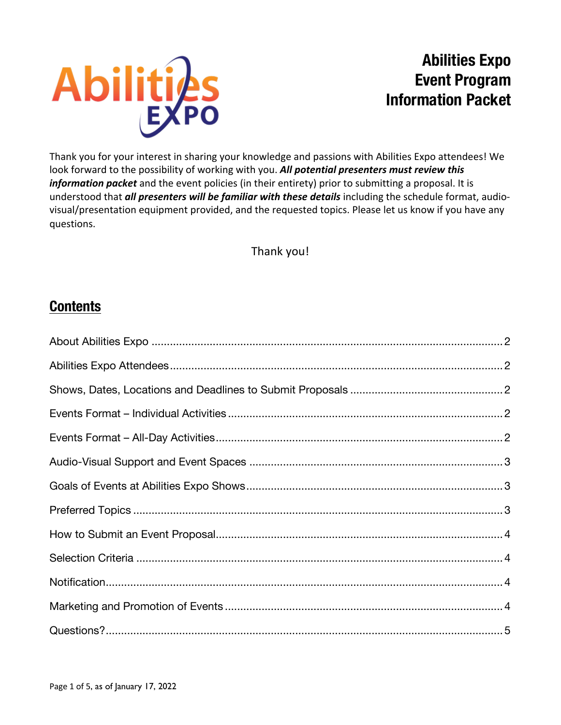

# **Abilities Expo Event Program Information Packet**

Thank you for your interest in sharing your knowledge and passions with Abilities Expo attendees! We look forward to the possibility of working with you. *All potential presenters must review this information packet* and the event policies (in their entirety) prior to submitting a proposal. It is understood that *all presenters will be familiar with these details* including the schedule format, audiovisual/presentation equipment provided, and the requested topics. Please let us know if you have any questions.

Thank you!

### **Contents**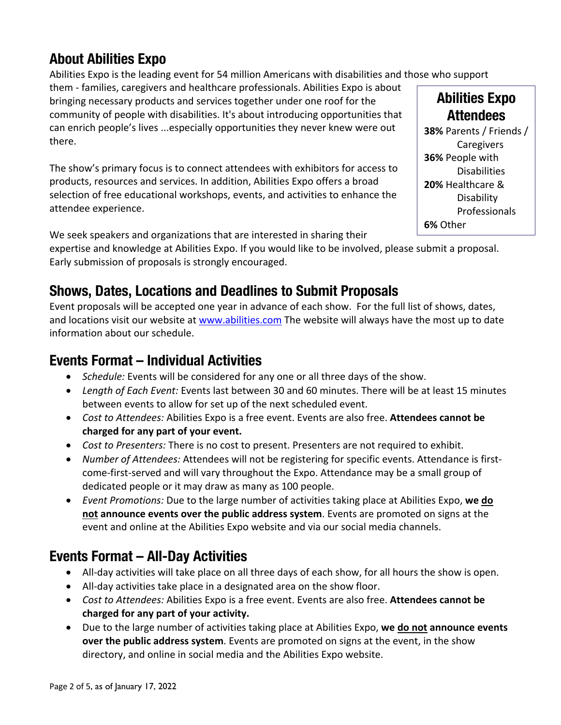### **About Abilities Expo**

Abilities Expo is the leading event for 54 million Americans with disabilities and those who support

them - families, caregivers and healthcare professionals. Abilities Expo is about bringing necessary products and services together under one roof for the community of people with disabilities. It's about introducing opportunities that can enrich people's lives ...especially opportunities they never knew were out there.

The show's primary focus is to connect attendees with exhibitors for access to products, resources and services. In addition, Abilities Expo offers a broad selection of free educational workshops, events, and activities to enhance the attendee experience.

**Abilities Expo Attendees 38%** Parents / Friends / **Caregivers 36%** People with **Disabilities 20%** Healthcare & **Disability** Professionals **6%** Other

We seek speakers and organizations that are interested in sharing their expertise and knowledge at Abilities Expo. If you would like to be involved, please submit a proposal. Early submission of proposals is strongly encouraged.

## **Shows, Dates, Locations and Deadlines to Submit Proposals**

Event proposals will be accepted one year in advance of each show. For the full list of shows, dates, and locations visit our website at www.abilities.com The website will always have the most up to date information about our schedule.

#### **Events Format – Individual Activities**

- *Schedule:* Events will be considered for any one or all three days of the show.
- *Length of Each Event:* Events last between 30 and 60 minutes. There will be at least 15 minutes between events to allow for set up of the next scheduled event.
- *Cost to Attendees:* Abilities Expo is a free event. Events are also free. **Attendees cannot be charged for any part of your event.**
- *Cost to Presenters:* There is no cost to present. Presenters are not required to exhibit.
- *Number of Attendees:* Attendees will not be registering for specific events. Attendance is firstcome-first-served and will vary throughout the Expo. Attendance may be a small group of dedicated people or it may draw as many as 100 people.
- *Event Promotions:* Due to the large number of activities taking place at Abilities Expo, **we do not announce events over the public address system**. Events are promoted on signs at the event and online at the Abilities Expo website and via our social media channels.

### **Events Format – All-Day Activities**

- All-day activities will take place on all three days of each show, for all hours the show is open.
- All-day activities take place in a designated area on the show floor.
- *Cost to Attendees:* Abilities Expo is a free event. Events are also free. **Attendees cannot be charged for any part of your activity.**
- Due to the large number of activities taking place at Abilities Expo, **we do not announce events over the public address system**. Events are promoted on signs at the event, in the show directory, and online in social media and the Abilities Expo website.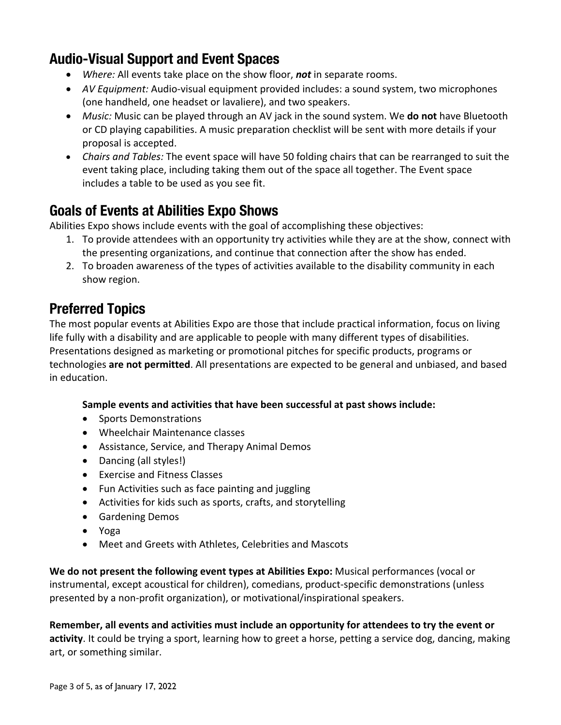#### **Audio-Visual Support and Event Spaces**

- *Where:* All events take place on the show floor, *not* in separate rooms.
- *AV Equipment:* Audio-visual equipment provided includes: a sound system, two microphones (one handheld, one headset or lavaliere), and two speakers.
- *Music:* Music can be played through an AV jack in the sound system. We **do not** have Bluetooth or CD playing capabilities. A music preparation checklist will be sent with more details if your proposal is accepted.
- *Chairs and Tables:* The event space will have 50 folding chairs that can be rearranged to suit the event taking place, including taking them out of the space all together. The Event space includes a table to be used as you see fit.

#### **Goals of Events at Abilities Expo Shows**

Abilities Expo shows include events with the goal of accomplishing these objectives:

- 1. To provide attendees with an opportunity try activities while they are at the show, connect with the presenting organizations, and continue that connection after the show has ended.
- 2. To broaden awareness of the types of activities available to the disability community in each show region.

#### **Preferred Topics**

The most popular events at Abilities Expo are those that include practical information, focus on living life fully with a disability and are applicable to people with many different types of disabilities. Presentations designed as marketing or promotional pitches for specific products, programs or technologies **are not permitted**. All presentations are expected to be general and unbiased, and based in education.

#### **Sample events and activities that have been successful at past shows include:**

- Sports Demonstrations
- Wheelchair Maintenance classes
- Assistance, Service, and Therapy Animal Demos
- Dancing (all styles!)
- Exercise and Fitness Classes
- Fun Activities such as face painting and juggling
- Activities for kids such as sports, crafts, and storytelling
- Gardening Demos
- Yoga
- Meet and Greets with Athletes, Celebrities and Mascots

**We do not present the following event types at Abilities Expo:** Musical performances (vocal or instrumental, except acoustical for children), comedians, product-specific demonstrations (unless presented by a non-profit organization), or motivational/inspirational speakers.

**Remember, all events and activities must include an opportunity for attendees to try the event or activity**. It could be trying a sport, learning how to greet a horse, petting a service dog, dancing, making art, or something similar.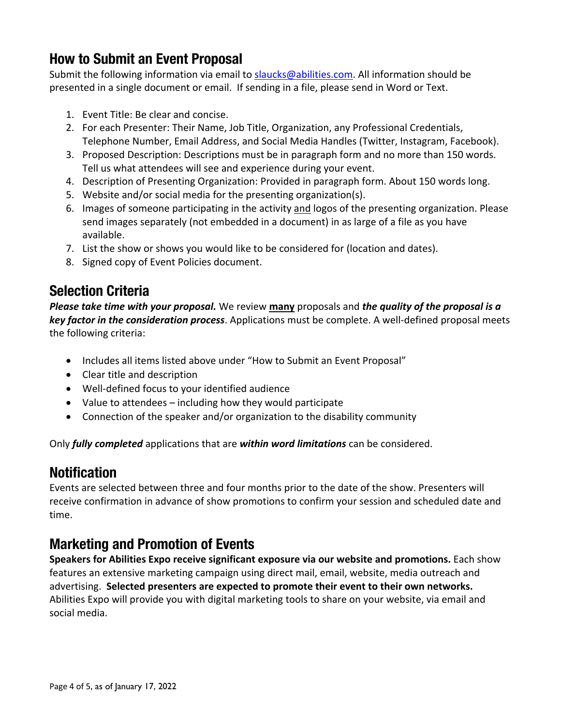#### **How to Submit an Event Proposal**

Submit the following information via email to slaucks@abilities.com. All information should be presented in a single document or email. If sending in a file, please send in Word or Text.

- 1. Event Title: Be clear and concise.
- 2. For each Presenter: Their Name, Job Title, Organization, any Professional Credentials, Telephone Number, Email Address, and Social Media Handles (Twitter, Instagram, Facebook).
- 3. Proposed Description: Descriptions must be in paragraph form and no more than 150 words. Tell us what attendees will see and experience during your event.
- 4. Description of Presenting Organization: Provided in paragraph form. About 150 words long.
- 5. Website and/or social media for the presenting organization(s).
- 6. Images of someone participating in the activity and logos of the presenting organization. Please send images separately (not embedded in a document) in as large of a file as you have available.
- 7. List the show or shows you would like to be considered for (location and dates).
- 8. Signed copy of Event Policies document.

### **Selection Criteria**

*Please take time with your proposal.* We review **many** proposals and *the quality of the proposal is a key factor in the consideration process*. Applications must be complete. A well-defined proposal meets the following criteria:

- Includes all items listed above under "How to Submit an Event Proposal"
- Clear title and description
- Well-defined focus to your identified audience
- Value to attendees including how they would participate
- Connection of the speaker and/or organization to the disability community

Only *fully completed* applications that are *within word limitations* can be considered.

#### **Notification**

Events are selected between three and four months prior to the date of the show. Presenters will receive confirmation in advance of show promotions to confirm your session and scheduled date and time.

### **Marketing and Promotion of Events**

**Speakers for Abilities Expo receive significant exposure via our website and promotions.** Each show features an extensive marketing campaign using direct mail, email, website, media outreach and advertising. **Selected presenters are expected to promote their event to their own networks.** Abilities Expo will provide you with digital marketing tools to share on your website, via email and social media.